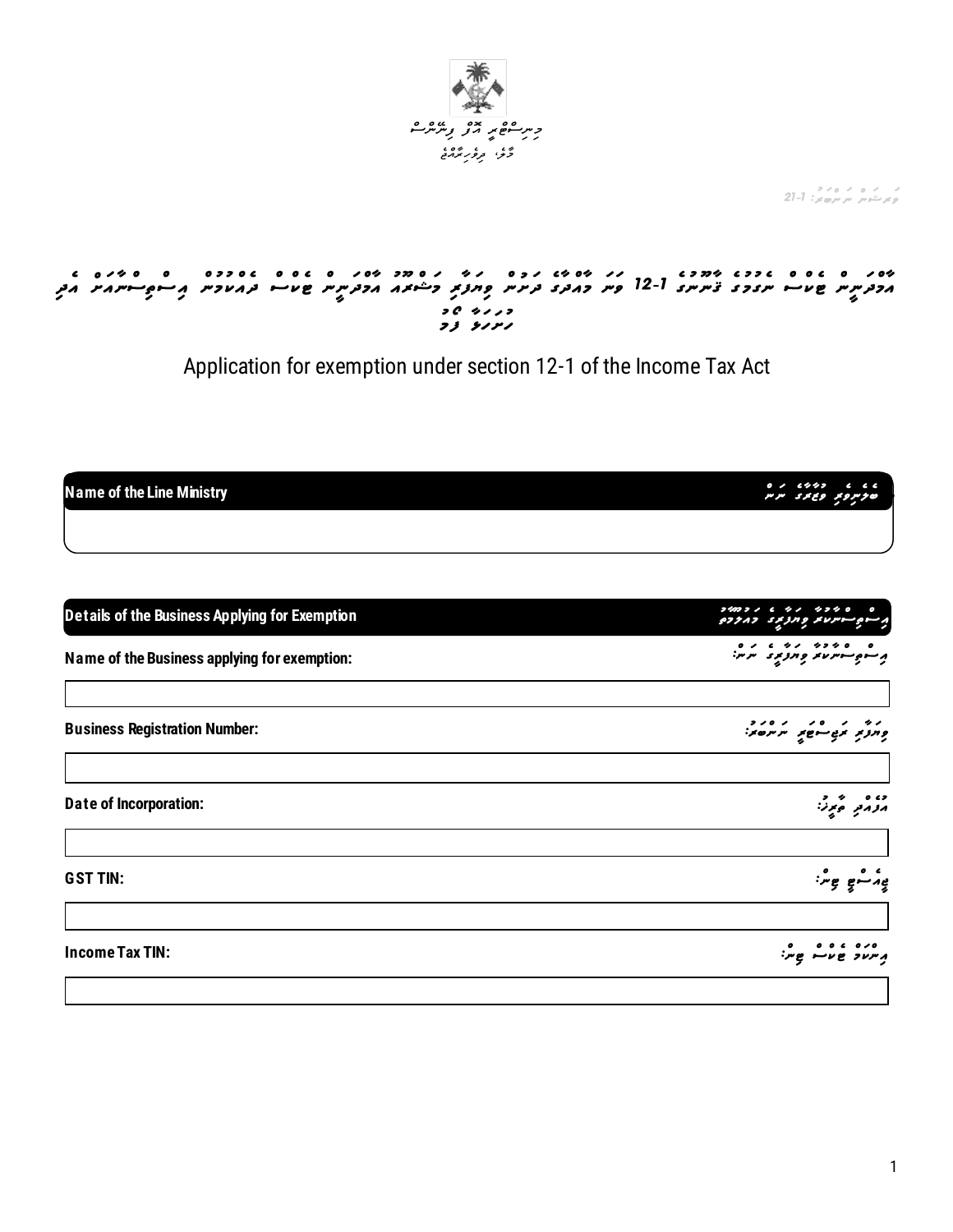

ر در در دره بر ۱۵۷۵.<br>درگذش پر سرمایر: 1-21

# ייסג ס גם ס גיבה ייחדה גדולי מס יגי גים גדולי הייחד וייחד וייחדים וייחדים מס ייחדים וייחדים.<br>הכתייתיו שטייה יינדרב צייקיותב 1-12 פייק דהבתב בקיקיוק במזבא הכתיית שטייה בהמדכית הביתקיי-יימה הבק

Application for exemption under section 12-1 of the Income Tax Act

**Name of the Line Ministry** 

|  | $0$ , $\epsilon \not\sim \phi$ , $\epsilon$<br>פת פגונב יוניון |  |
|--|----------------------------------------------------------------|--|
|  |                                                                |  |

| Details of the Business Applying for Exemption | 240221 6 41 42340<br>ים היינו את הקדק באדרם         |
|------------------------------------------------|-----------------------------------------------------|
| Name of the Business applying for exemption:   | ه په دوره دره دره ده<br>پرسوچسوس در در درو برد در س |
| <b>Business Registration Number:</b>           |                                                     |
| <b>Date of Incorporation:</b>                  | مومى موز:                                           |
| <b>GST TIN:</b>                                | ۽ مشي ۽ شين                                         |
| <b>Income Tax TIN:</b>                         | 000 000 000<br>1. תער שעיי שֶיל                     |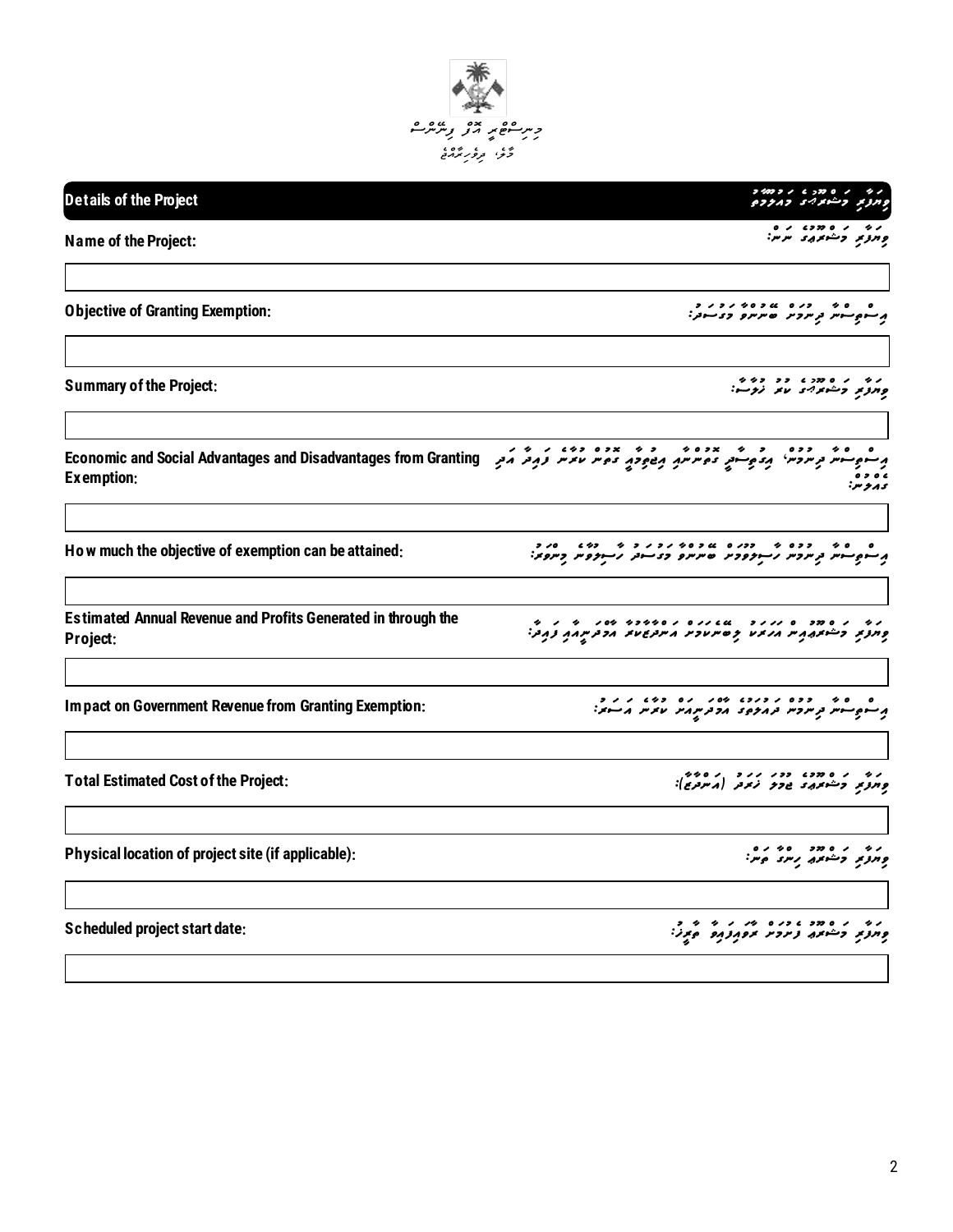

| Details of the Project                                                                                                                                                                                                                             | 74021670011<br>ويروبر وشمعربر ويروده                                                                                                                                                         |
|----------------------------------------------------------------------------------------------------------------------------------------------------------------------------------------------------------------------------------------------------|----------------------------------------------------------------------------------------------------------------------------------------------------------------------------------------------|
| <b>Name of the Project:</b>                                                                                                                                                                                                                        | נט ניסוכט נים<br>פְחַצְתַ כְּשׁתֹּמֵ מִמְ:                                                                                                                                                   |
| <b>Objective of Granting Exemption:</b>                                                                                                                                                                                                            | ه - ه د - د د ه - په د ه د د د د د<br>پر سوږ سومر و مرومر - ه مرمرو او د سودر                                                                                                                |
| <b>Summary of the Project:</b>                                                                                                                                                                                                                     | د په د ه ده ده ده په<br>ومرونو وشونوادی مانو نړوسو:                                                                                                                                          |
| ه به ارده از به برده به این به به برده از به به به دور که به دور از Economic and Social Advantages and Disadvantages from Granting<br>شهر توسردس <sup>،</sup> بردهیسته ده سرسهم بریاهوی ده سر سرسر قریرفر کرد <sub>ی</sub> Examption<br>Exemption: | ى پر پو .                                                                                                                                                                                    |
| How much the objective of exemption can be attained:                                                                                                                                                                                               | ם - סידי - ככם ידי - ככלים ומיליות וכיל לידי - כלים - סליכון<br>קלייניקטייניות ב <sub>ע</sub> ות כית לייניקס בידי שלייניקס ביוניקס ביונקס ביונקס ביונקס ביונקס ביונקס ביונקס ביונקס ביונקס ב |
| <b>Estimated Annual Revenue and Profits Generated in through the</b><br>Project:                                                                                                                                                                   | ני ניסמכים ננגב ממנים במספרי מסג ביני המיני<br>פונני כייימונות ונמיני קסינטכיני ויינטשי וכניינות נוכל                                                                                        |
| Impact on Government Revenue from Granting Exemption:                                                                                                                                                                                              | ם כי פי ככם קיבוד מסק קם כמש קיקים.<br>קיימקייימיות מקווקפיות הכתיק היו הדיוק הייחוק.                                                                                                        |
| <b>Total Estimated Cost of the Project:</b>                                                                                                                                                                                                        | נים ניסיבה בכני נוני ניסים.<br>סְחִצְתַ כְּייֹימַתֵּ הַכְּבְ נֹתֵב (גיעב, ):                                                                                                                 |
| Physical location of project site (if applicable):                                                                                                                                                                                                 | ני ניסוד סינים<br>פחצו בשיות ניינים                                                                                                                                                          |
| <b>Scheduled project start date:</b>                                                                                                                                                                                                               |                                                                                                                                                                                              |